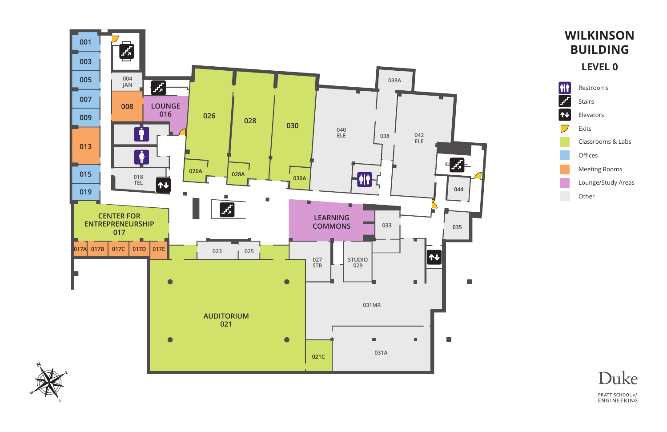





Restrooms

Stairs

Elevators

Exits

Classrooms & Labs

Offices

Meeting Rooms

Lounge/Study Areas

Other

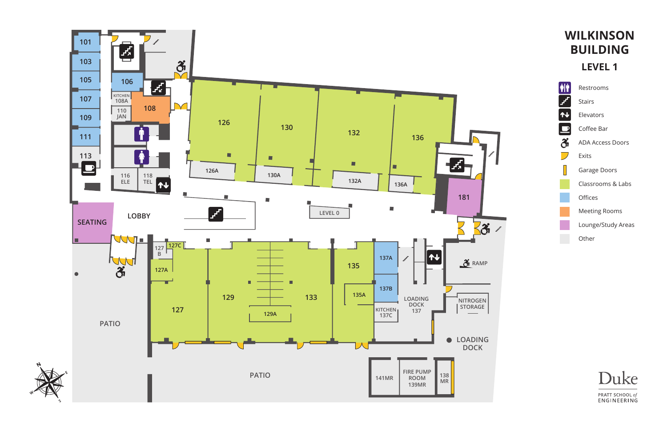



Restrooms Stairs Elevators Coffee Bar ADA Access Doors Exits Garage Doors Classrooms & Labs **Offices** Meeting Rooms Lounge/Study Areas Other

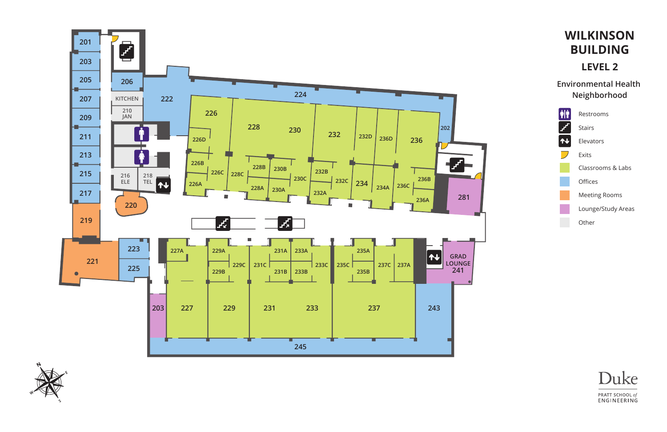



**Environmental Health Neighborhood** 



Restrooms Stairs Elevators Exits Classrooms & Labs Offices Meeting Rooms Lounge/Study Areas Other

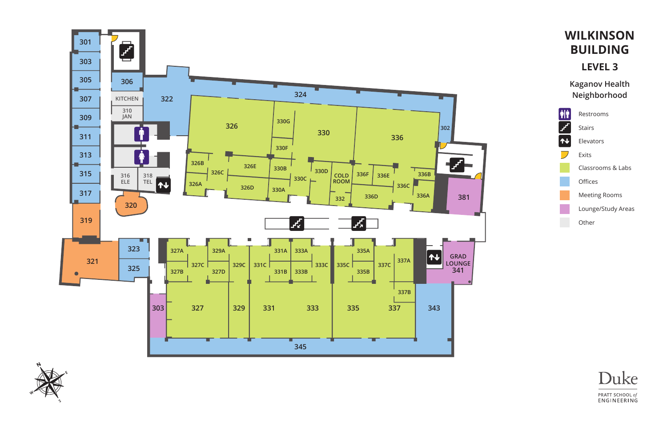



**Kaganov Health Neighborhood** 



Restrooms Stairs Elevators Exits Classrooms & Labs Offices Meeting Rooms Lounge/Study Areas Other

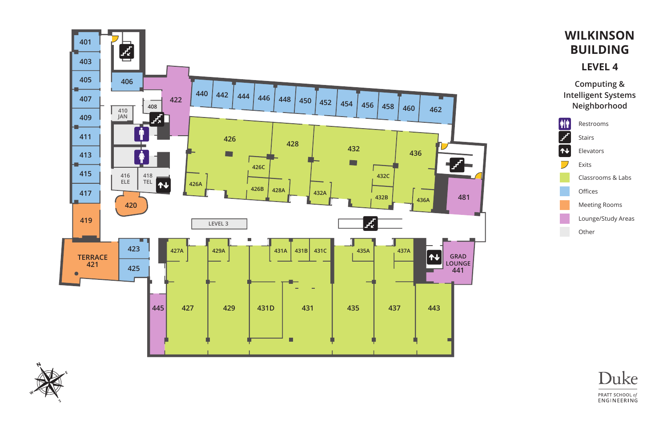



# **WILKINSON BUILDING**

#### **LEVEL 4**

**Computing & Intelligent Systems Neighborhood** 



Restrooms Stairs Elevators Exits Classrooms & Labs Offices Meeting Rooms Lounge/Study Areas Other